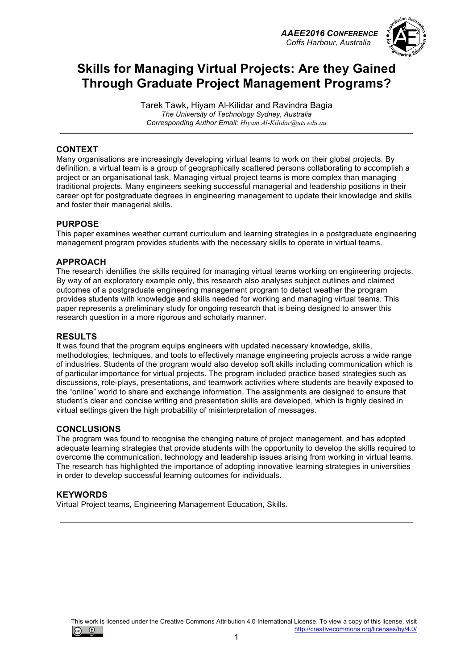



# **Skills for Managing Virtual Projects: Are they Gained Through Graduate Project Management Programs?**

Tarek Tawk, Hiyam Al-Kilidar and Ravindra Bagia *The University of Technology Sydney, Australia Corresponding Author Email: Hiyam.Al-Kilidar@uts.edu.au*

#### **CONTEXT**

Many organisations are increasingly developing virtual teams to work on their global projects. By definition, a virtual team is a group of geographically scattered persons collaborating to accomplish a project or an organisational task. Managing virtual project teams is more complex than managing traditional projects. Many engineers seeking successful managerial and leadership positions in their career opt for postgraduate degrees in engineering management to update their knowledge and skills and foster their managerial skills.

#### **PURPOSE**

This paper examines weather current curriculum and learning strategies in a postgraduate engineering management program provides students with the necessary skills to operate in virtual teams.

#### **APPROACH**

The research identifies the skills required for managing virtual teams working on engineering projects. By way of an exploratory example only, this research also analyses subject outlines and claimed outcomes of a postgraduate engineering management program to detect weather the program provides students with knowledge and skills needed for working and managing virtual teams. This paper represents a preliminary study for ongoing research that is being designed to answer this research question in a more rigorous and scholarly manner.

#### **RESULTS**

It was found that the program equips engineers with updated necessary knowledge, skills, methodologies, techniques, and tools to effectively manage engineering projects across a wide range of industries. Students of the program would also develop soft skills including communication which is of particular importance for virtual projects. The program included practice based strategies such as discussions, role-plays, presentations, and teamwork activities where students are heavily exposed to the "online" world to share and exchange information. The assignments are designed to ensure that student's clear and concise writing and presentation skills are developed, which is highly desired in virtual settings given the high probability of misinterpretation of messages.

#### **CONCLUSIONS**

The program was found to recognise the changing nature of project management, and has adopted adequate learning strategies that provide students with the opportunity to develop the skills required to overcome the communication, technology and leadership issues arising from working in virtual teams. The research has highlighted the importance of adopting innovative learning strategies in universities in order to develop successful learning outcomes for individuals.

#### **KEYWORDS**

Virtual Project teams, Engineering Management Education, Skills.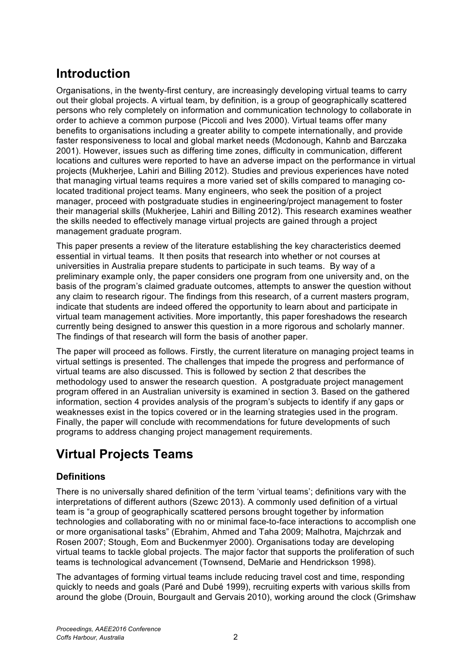# **Introduction**

Organisations, in the twenty-first century, are increasingly developing virtual teams to carry out their global projects. A virtual team, by definition, is a group of geographically scattered persons who rely completely on information and communication technology to collaborate in order to achieve a common purpose (Piccoli and Ives 2000). Virtual teams offer many benefits to organisations including a greater ability to compete internationally, and provide faster responsiveness to local and global market needs (Mcdonough, Kahnb and Barczaka 2001). However, issues such as differing time zones, difficulty in communication, different locations and cultures were reported to have an adverse impact on the performance in virtual projects (Mukherjee, Lahiri and Billing 2012). Studies and previous experiences have noted that managing virtual teams requires a more varied set of skills compared to managing colocated traditional project teams. Many engineers, who seek the position of a project manager, proceed with postgraduate studies in engineering/project management to foster their managerial skills (Mukherjee, Lahiri and Billing 2012). This research examines weather the skills needed to effectively manage virtual projects are gained through a project management graduate program.

This paper presents a review of the literature establishing the key characteristics deemed essential in virtual teams. It then posits that research into whether or not courses at universities in Australia prepare students to participate in such teams. By way of a preliminary example only, the paper considers one program from one university and, on the basis of the program's claimed graduate outcomes, attempts to answer the question without any claim to research rigour. The findings from this research, of a current masters program, indicate that students are indeed offered the opportunity to learn about and participate in virtual team management activities. More importantly, this paper foreshadows the research currently being designed to answer this question in a more rigorous and scholarly manner. The findings of that research will form the basis of another paper.

The paper will proceed as follows. Firstly, the current literature on managing project teams in virtual settings is presented. The challenges that impede the progress and performance of virtual teams are also discussed. This is followed by section 2 that describes the methodology used to answer the research question. A postgraduate project management program offered in an Australian university is examined in section 3. Based on the gathered information, section 4 provides analysis of the program's subjects to identify if any gaps or weaknesses exist in the topics covered or in the learning strategies used in the program. Finally, the paper will conclude with recommendations for future developments of such programs to address changing project management requirements.

# **Virtual Projects Teams**

## **Definitions**

There is no universally shared definition of the term 'virtual teams'; definitions vary with the interpretations of different authors (Szewc 2013). A commonly used definition of a virtual team is "a group of geographically scattered persons brought together by information technologies and collaborating with no or minimal face-to-face interactions to accomplish one or more organisational tasks" (Ebrahim, Ahmed and Taha 2009; Malhotra, Majchrzak and Rosen 2007; Stough, Eom and Buckenmyer 2000). Organisations today are developing virtual teams to tackle global projects. The major factor that supports the proliferation of such teams is technological advancement (Townsend, DeMarie and Hendrickson 1998).

The advantages of forming virtual teams include reducing travel cost and time, responding quickly to needs and goals (Paré and Dubé 1999), recruiting experts with various skills from around the globe (Drouin, Bourgault and Gervais 2010), working around the clock (Grimshaw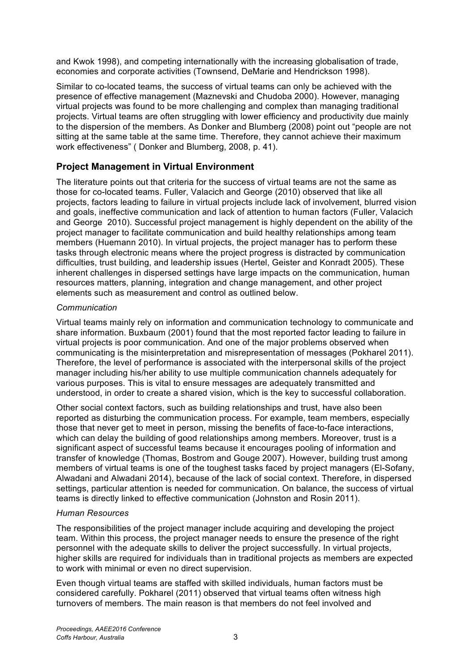and Kwok 1998), and competing internationally with the increasing globalisation of trade, economies and corporate activities (Townsend, DeMarie and Hendrickson 1998).

Similar to co-located teams, the success of virtual teams can only be achieved with the presence of effective management (Maznevski and Chudoba 2000). However, managing virtual projects was found to be more challenging and complex than managing traditional projects. Virtual teams are often struggling with lower efficiency and productivity due mainly to the dispersion of the members. As Donker and Blumberg (2008) point out "people are not sitting at the same table at the same time. Therefore, they cannot achieve their maximum work effectiveness" ( Donker and Blumberg, 2008, p. 41).

### **Project Management in Virtual Environment**

The literature points out that criteria for the success of virtual teams are not the same as those for co-located teams. Fuller, Valacich and George (2010) observed that like all projects, factors leading to failure in virtual projects include lack of involvement, blurred vision and goals, ineffective communication and lack of attention to human factors (Fuller, Valacich and George 2010). Successful project management is highly dependent on the ability of the project manager to facilitate communication and build healthy relationships among team members (Huemann 2010). In virtual projects, the project manager has to perform these tasks through electronic means where the project progress is distracted by communication difficulties, trust building, and leadership issues (Hertel, Geister and Konradt 2005). These inherent challenges in dispersed settings have large impacts on the communication, human resources matters, planning, integration and change management, and other project elements such as measurement and control as outlined below.

#### *Communication*

Virtual teams mainly rely on information and communication technology to communicate and share information. Buxbaum (2001) found that the most reported factor leading to failure in virtual projects is poor communication. And one of the major problems observed when communicating is the misinterpretation and misrepresentation of messages (Pokharel 2011). Therefore, the level of performance is associated with the interpersonal skills of the project manager including his/her ability to use multiple communication channels adequately for various purposes. This is vital to ensure messages are adequately transmitted and understood, in order to create a shared vision, which is the key to successful collaboration.

Other social context factors, such as building relationships and trust, have also been reported as disturbing the communication process. For example, team members, especially those that never get to meet in person, missing the benefits of face-to-face interactions, which can delay the building of good relationships among members. Moreover, trust is a significant aspect of successful teams because it encourages pooling of information and transfer of knowledge (Thomas, Bostrom and Gouge 2007). However, building trust among members of virtual teams is one of the toughest tasks faced by project managers (El-Sofany, Alwadani and Alwadani 2014), because of the lack of social context. Therefore, in dispersed settings, particular attention is needed for communication. On balance, the success of virtual teams is directly linked to effective communication (Johnston and Rosin 2011).

#### *Human Resources*

The responsibilities of the project manager include acquiring and developing the project team. Within this process, the project manager needs to ensure the presence of the right personnel with the adequate skills to deliver the project successfully. In virtual projects, higher skills are required for individuals than in traditional projects as members are expected to work with minimal or even no direct supervision.

Even though virtual teams are staffed with skilled individuals, human factors must be considered carefully. Pokharel (2011) observed that virtual teams often witness high turnovers of members. The main reason is that members do not feel involved and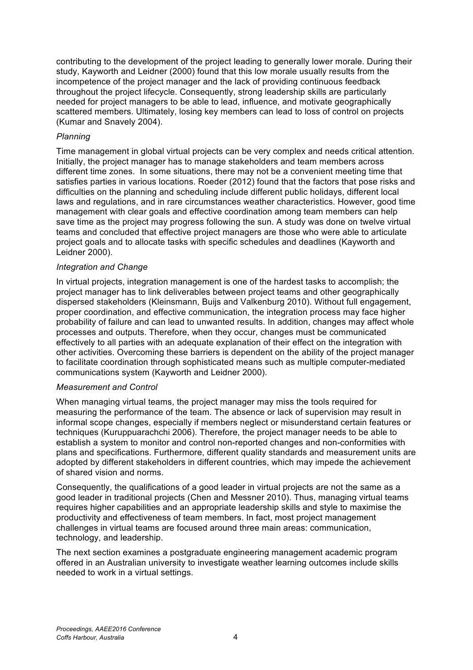contributing to the development of the project leading to generally lower morale. During their study, Kayworth and Leidner (2000) found that this low morale usually results from the incompetence of the project manager and the lack of providing continuous feedback throughout the project lifecycle. Consequently, strong leadership skills are particularly needed for project managers to be able to lead, influence, and motivate geographically scattered members. Ultimately, losing key members can lead to loss of control on projects (Kumar and Snavely 2004).

#### *Planning*

Time management in global virtual projects can be very complex and needs critical attention. Initially, the project manager has to manage stakeholders and team members across different time zones. In some situations, there may not be a convenient meeting time that satisfies parties in various locations. Roeder (2012) found that the factors that pose risks and difficulties on the planning and scheduling include different public holidays, different local laws and regulations, and in rare circumstances weather characteristics. However, good time management with clear goals and effective coordination among team members can help save time as the project may progress following the sun. A study was done on twelve virtual teams and concluded that effective project managers are those who were able to articulate project goals and to allocate tasks with specific schedules and deadlines (Kayworth and Leidner 2000).

#### *Integration and Change*

In virtual projects, integration management is one of the hardest tasks to accomplish; the project manager has to link deliverables between project teams and other geographically dispersed stakeholders (Kleinsmann, Buijs and Valkenburg 2010). Without full engagement, proper coordination, and effective communication, the integration process may face higher probability of failure and can lead to unwanted results. In addition, changes may affect whole processes and outputs. Therefore, when they occur, changes must be communicated effectively to all parties with an adequate explanation of their effect on the integration with other activities. Overcoming these barriers is dependent on the ability of the project manager to facilitate coordination through sophisticated means such as multiple computer-mediated communications system (Kayworth and Leidner 2000).

#### *Measurement and Control*

When managing virtual teams, the project manager may miss the tools required for measuring the performance of the team. The absence or lack of supervision may result in informal scope changes, especially if members neglect or misunderstand certain features or techniques (Kuruppuarachchi 2006). Therefore, the project manager needs to be able to establish a system to monitor and control non-reported changes and non-conformities with plans and specifications. Furthermore, different quality standards and measurement units are adopted by different stakeholders in different countries, which may impede the achievement of shared vision and norms.

Consequently, the qualifications of a good leader in virtual projects are not the same as a good leader in traditional projects (Chen and Messner 2010). Thus, managing virtual teams requires higher capabilities and an appropriate leadership skills and style to maximise the productivity and effectiveness of team members. In fact, most project management challenges in virtual teams are focused around three main areas: communication, technology, and leadership.

The next section examines a postgraduate engineering management academic program offered in an Australian university to investigate weather learning outcomes include skills needed to work in a virtual settings.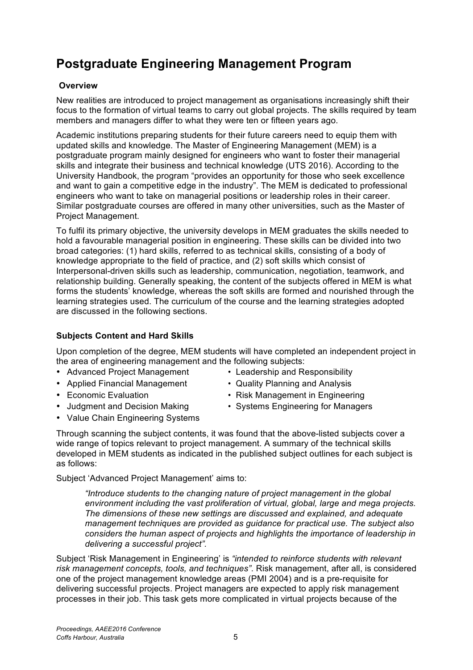# **Postgraduate Engineering Management Program**

### **Overview**

New realities are introduced to project management as organisations increasingly shift their focus to the formation of virtual teams to carry out global projects. The skills required by team members and managers differ to what they were ten or fifteen years ago.

Academic institutions preparing students for their future careers need to equip them with updated skills and knowledge. The Master of Engineering Management (MEM) is a postgraduate program mainly designed for engineers who want to foster their managerial skills and integrate their business and technical knowledge (UTS 2016). According to the University Handbook, the program "provides an opportunity for those who seek excellence and want to gain a competitive edge in the industry". The MEM is dedicated to professional engineers who want to take on managerial positions or leadership roles in their career. Similar postgraduate courses are offered in many other universities, such as the Master of Project Management.

To fulfil its primary objective, the university develops in MEM graduates the skills needed to hold a favourable managerial position in engineering. These skills can be divided into two broad categories: (1) hard skills, referred to as technical skills, consisting of a body of knowledge appropriate to the field of practice, and (2) soft skills which consist of Interpersonal-driven skills such as leadership, communication, negotiation, teamwork, and relationship building. Generally speaking, the content of the subjects offered in MEM is what forms the students' knowledge, whereas the soft skills are formed and nourished through the learning strategies used. The curriculum of the course and the learning strategies adopted are discussed in the following sections.

### **Subjects Content and Hard Skills**

Upon completion of the degree, MEM students will have completed an independent project in the area of engineering management and the following subjects:

- Advanced Project Management Leadership and Responsibility
- Applied Financial Management Quality Planning and Analysis
- Economic Evaluation Risk Management in Engineering

as follows:

- 
- 
- 
- Judament and Decision Making Systems Engineering for Managers
- Value Chain Engineering Systems
- Through scanning the subject contents, it was found that the above-listed subjects cover a wide range of topics relevant to project management. A summary of the technical skills developed in MEM students as indicated in the published subject outlines for each subject is

Subject 'Advanced Project Management' aims to:

*"Introduce students to the changing nature of project management in the global environment including the vast proliferation of virtual, global, large and mega projects. The dimensions of these new settings are discussed and explained, and adequate management techniques are provided as guidance for practical use. The subject also considers the human aspect of projects and highlights the importance of leadership in delivering a successful project".* 

Subject 'Risk Management in Engineering' is *"intended to reinforce students with relevant risk management concepts, tools, and techniques"*. Risk management, after all, is considered one of the project management knowledge areas (PMI 2004) and is a pre-requisite for delivering successful projects. Project managers are expected to apply risk management processes in their job. This task gets more complicated in virtual projects because of the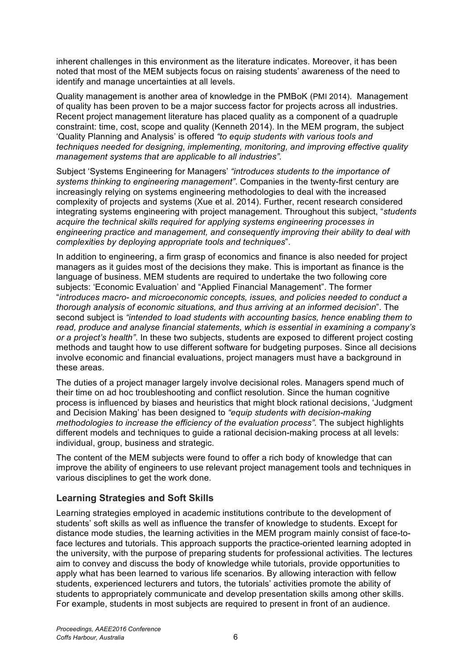inherent challenges in this environment as the literature indicates. Moreover, it has been noted that most of the MEM subjects focus on raising students' awareness of the need to identify and manage uncertainties at all levels.

Quality management is another area of knowledge in the PMBoK (PMI 2014). Management of quality has been proven to be a major success factor for projects across all industries. Recent project management literature has placed quality as a component of a quadruple constraint: time, cost, scope and quality (Kenneth 2014). In the MEM program, the subject 'Quality Planning and Analysis' is offered *"to equip students with various tools and techniques needed for designing, implementing, monitoring, and improving effective quality management systems that are applicable to all industries".*

Subject 'Systems Engineering for Managers' *"introduces students to the importance of systems thinking to engineering management"*. Companies in the twenty-first century are increasingly relying on systems engineering methodologies to deal with the increased complexity of projects and systems (Xue et al. 2014). Further, recent research considered integrating systems engineering with project management. Throughout this subject, "*students acquire the technical skills required for applying systems engineering processes in engineering practice and management, and consequently improving their ability to deal with complexities by deploying appropriate tools and techniques*".

In addition to engineering, a firm grasp of economics and finance is also needed for project managers as it guides most of the decisions they make. This is important as finance is the language of business. MEM students are required to undertake the two following core subjects: 'Economic Evaluation' and "Applied Financial Management". The former "*introduces macro- and microeconomic concepts, issues, and policies needed to conduct a thorough analysis of economic situations, and thus arriving at an informed decision*". The second subject is *"intended to load students with accounting basics, hence enabling them to read, produce and analyse financial statements, which is essential in examining a company's or a project's health"*. In these two subjects, students are exposed to different project costing methods and taught how to use different software for budgeting purposes. Since all decisions involve economic and financial evaluations, project managers must have a background in these areas.

The duties of a project manager largely involve decisional roles. Managers spend much of their time on ad hoc troubleshooting and conflict resolution. Since the human cognitive process is influenced by biases and heuristics that might block rational decisions, 'Judgment and Decision Making' has been designed to *"equip students with decision-making methodologies to increase the efficiency of the evaluation process".* The subject highlights different models and techniques to guide a rational decision-making process at all levels: individual, group, business and strategic.

The content of the MEM subjects were found to offer a rich body of knowledge that can improve the ability of engineers to use relevant project management tools and techniques in various disciplines to get the work done.

### **Learning Strategies and Soft Skills**

Learning strategies employed in academic institutions contribute to the development of students' soft skills as well as influence the transfer of knowledge to students. Except for distance mode studies, the learning activities in the MEM program mainly consist of face-toface lectures and tutorials. This approach supports the practice-oriented learning adopted in the university, with the purpose of preparing students for professional activities. The lectures aim to convey and discuss the body of knowledge while tutorials, provide opportunities to apply what has been learned to various life scenarios. By allowing interaction with fellow students, experienced lecturers and tutors, the tutorials' activities promote the ability of students to appropriately communicate and develop presentation skills among other skills. For example, students in most subjects are required to present in front of an audience.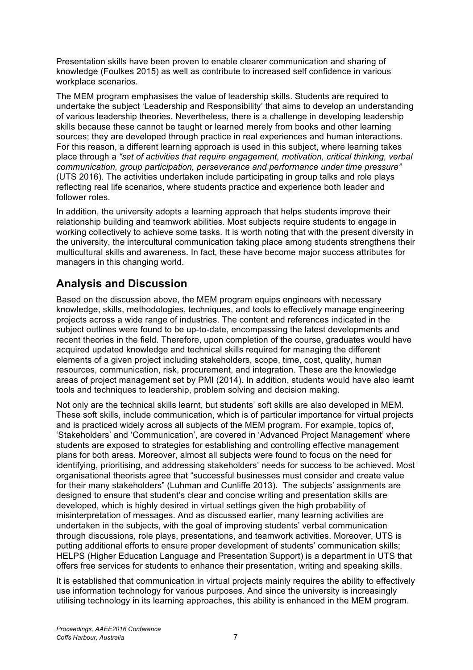Presentation skills have been proven to enable clearer communication and sharing of knowledge (Foulkes 2015) as well as contribute to increased self confidence in various workplace scenarios.

The MEM program emphasises the value of leadership skills. Students are required to undertake the subject 'Leadership and Responsibility' that aims to develop an understanding of various leadership theories. Nevertheless, there is a challenge in developing leadership skills because these cannot be taught or learned merely from books and other learning sources; they are developed through practice in real experiences and human interactions. For this reason, a different learning approach is used in this subject, where learning takes place through a *"set of activities that require engagement, motivation, critical thinking, verbal communication, group participation, perseverance and performance under time pressure"*  (UTS 2016). The activities undertaken include participating in group talks and role plays reflecting real life scenarios, where students practice and experience both leader and follower roles.

In addition, the university adopts a learning approach that helps students improve their relationship building and teamwork abilities. Most subjects require students to engage in working collectively to achieve some tasks. It is worth noting that with the present diversity in the university, the intercultural communication taking place among students strengthens their multicultural skills and awareness. In fact, these have become major success attributes for managers in this changing world.

## **Analysis and Discussion**

Based on the discussion above, the MEM program equips engineers with necessary knowledge, skills, methodologies, techniques, and tools to effectively manage engineering projects across a wide range of industries. The content and references indicated in the subject outlines were found to be up-to-date, encompassing the latest developments and recent theories in the field. Therefore, upon completion of the course, graduates would have acquired updated knowledge and technical skills required for managing the different elements of a given project including stakeholders, scope, time, cost, quality, human resources, communication, risk, procurement, and integration. These are the knowledge areas of project management set by PMI (2014). In addition, students would have also learnt tools and techniques to leadership, problem solving and decision making.

Not only are the technical skills learnt, but students' soft skills are also developed in MEM. These soft skills, include communication, which is of particular importance for virtual projects and is practiced widely across all subjects of the MEM program. For example, topics of, 'Stakeholders' and 'Communication', are covered in 'Advanced Project Management' where students are exposed to strategies for establishing and controlling effective management plans for both areas. Moreover, almost all subjects were found to focus on the need for identifying, prioritising, and addressing stakeholders' needs for success to be achieved. Most organisational theorists agree that "successful businesses must consider and create value for their many stakeholders" (Luhman and Cunliffe 2013). The subjects' assignments are designed to ensure that student's clear and concise writing and presentation skills are developed, which is highly desired in virtual settings given the high probability of misinterpretation of messages. And as discussed earlier, many learning activities are undertaken in the subjects, with the goal of improving students' verbal communication through discussions, role plays, presentations, and teamwork activities. Moreover, UTS is putting additional efforts to ensure proper development of students' communication skills; HELPS (Higher Education Language and Presentation Support) is a department in UTS that offers free services for students to enhance their presentation, writing and speaking skills.

It is established that communication in virtual projects mainly requires the ability to effectively use information technology for various purposes. And since the university is increasingly utilising technology in its learning approaches, this ability is enhanced in the MEM program.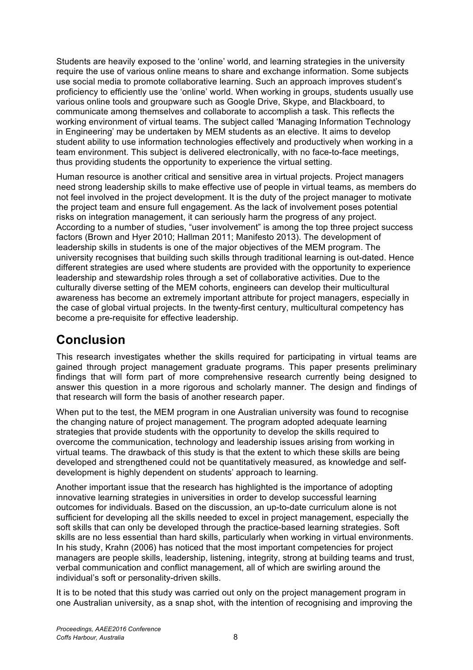Students are heavily exposed to the 'online' world, and learning strategies in the university require the use of various online means to share and exchange information. Some subjects use social media to promote collaborative learning. Such an approach improves student's proficiency to efficiently use the 'online' world. When working in groups, students usually use various online tools and groupware such as Google Drive, Skype, and Blackboard, to communicate among themselves and collaborate to accomplish a task. This reflects the working environment of virtual teams. The subject called 'Managing Information Technology in Engineering' may be undertaken by MEM students as an elective. It aims to develop student ability to use information technologies effectively and productively when working in a team environment. This subject is delivered electronically, with no face-to-face meetings, thus providing students the opportunity to experience the virtual setting.

Human resource is another critical and sensitive area in virtual projects. Project managers need strong leadership skills to make effective use of people in virtual teams, as members do not feel involved in the project development. It is the duty of the project manager to motivate the project team and ensure full engagement. As the lack of involvement poses potential risks on integration management, it can seriously harm the progress of any project. According to a number of studies, "user involvement" is among the top three project success factors (Brown and Hyer 2010; Hallman 2011; Manifesto 2013). The development of leadership skills in students is one of the major objectives of the MEM program. The university recognises that building such skills through traditional learning is out-dated. Hence different strategies are used where students are provided with the opportunity to experience leadership and stewardship roles through a set of collaborative activities. Due to the culturally diverse setting of the MEM cohorts, engineers can develop their multicultural awareness has become an extremely important attribute for project managers, especially in the case of global virtual projects. In the twenty-first century, multicultural competency has become a pre-requisite for effective leadership.

# **Conclusion**

This research investigates whether the skills required for participating in virtual teams are gained through project management graduate programs. This paper presents preliminary findings that will form part of more comprehensive research currently being designed to answer this question in a more rigorous and scholarly manner. The design and findings of that research will form the basis of another research paper.

When put to the test, the MEM program in one Australian university was found to recognise the changing nature of project management. The program adopted adequate learning strategies that provide students with the opportunity to develop the skills required to overcome the communication, technology and leadership issues arising from working in virtual teams. The drawback of this study is that the extent to which these skills are being developed and strengthened could not be quantitatively measured, as knowledge and selfdevelopment is highly dependent on students' approach to learning.

Another important issue that the research has highlighted is the importance of adopting innovative learning strategies in universities in order to develop successful learning outcomes for individuals. Based on the discussion, an up-to-date curriculum alone is not sufficient for developing all the skills needed to excel in project management, especially the soft skills that can only be developed through the practice-based learning strategies. Soft skills are no less essential than hard skills, particularly when working in virtual environments. In his study, Krahn (2006) has noticed that the most important competencies for project managers are people skills, leadership, listening, integrity, strong at building teams and trust, verbal communication and conflict management, all of which are swirling around the individual's soft or personality-driven skills.

It is to be noted that this study was carried out only on the project management program in one Australian university, as a snap shot, with the intention of recognising and improving the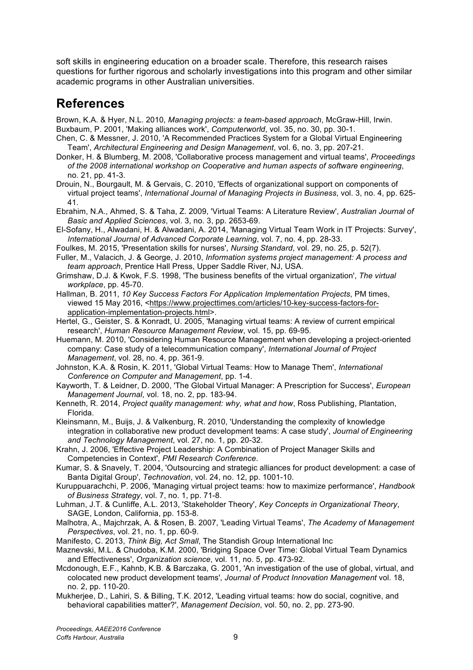soft skills in engineering education on a broader scale. Therefore, this research raises questions for further rigorous and scholarly investigations into this program and other similar academic programs in other Australian universities.

## **References**

Brown, K.A. & Hyer, N.L. 2010, *Managing projects: a team-based approach*, McGraw-Hill, Irwin. Buxbaum, P. 2001, 'Making alliances work', *Computerworld*, vol. 35, no. 30, pp. 30-1.

- Chen, C. & Messner, J. 2010, 'A Recommended Practices System for a Global Virtual Engineering Team', *Architectural Engineering and Design Management*, vol. 6, no. 3, pp. 207-21.
- Donker, H. & Blumberg, M. 2008, 'Collaborative process management and virtual teams', *Proceedings of the 2008 international workshop on Cooperative and human aspects of software engineering*, no. 21, pp. 41-3.
- Drouin, N., Bourgault, M. & Gervais, C. 2010, 'Effects of organizational support on components of virtual project teams', *International Journal of Managing Projects in Business*, vol. 3, no. 4, pp. 625- 41.

Ebrahim, N.A., Ahmed, S. & Taha, Z. 2009, 'Virtual Teams: A Literature Review', *Australian Journal of Basic and Applied Sciences*, vol. 3, no. 3, pp. 2653-69.

El-Sofany, H., Alwadani, H. & Alwadani, A. 2014, 'Managing Virtual Team Work in IT Projects: Survey', *International Journal of Advanced Corporate Learning*, vol. 7, no. 4, pp. 28-33.

- Foulkes, M. 2015, 'Presentation skills for nurses', *Nursing Standard*, vol. 29, no. 25, p. 52(7).
- Fuller, M., Valacich, J. & George, J. 2010, *Information systems project management: A process and team approach*, Prentice Hall Press, Upper Saddle River, NJ, USA.

Grimshaw, D.J. & Kwok, F.S. 1998, 'The business benefits of the virtual organization', *The virtual workplace*, pp. 45-70.

Hallman, B. 2011, *10 Key Success Factors For Application Implementation Projects*, PM times, viewed 15 May 2016, <https://www.projecttimes.com/articles/10-key-success-factors-forapplication-implementation-projects.html>.

Hertel, G., Geister, S. & Konradt, U. 2005, 'Managing virtual teams: A review of current empirical research', *Human Resource Management Review*, vol. 15, pp. 69-95.

Huemann, M. 2010, 'Considering Human Resource Management when developing a project-oriented company: Case study of a telecommunication company', *International Journal of Project Management*, vol. 28, no. 4, pp. 361-9.

Johnston, K.A. & Rosin, K. 2011, 'Global Virtual Teams: How to Manage Them', *International Conference on Computer and Management*, pp. 1-4.

Kayworth, T. & Leidner, D. 2000, 'The Global Virtual Manager: A Prescription for Success', *European Management Journal*, vol. 18, no. 2, pp. 183-94.

Kleinsmann, M., Buijs, J. & Valkenburg, R. 2010, 'Understanding the complexity of knowledge integration in collaborative new product development teams: A case study', *Journal of Engineering and Technology Management*, vol. 27, no. 1, pp. 20-32.

Krahn, J. 2006, 'Effective Project Leadership: A Combination of Project Manager Skills and Competencies in Context', *PMI Research Conference*.

Kumar, S. & Snavely, T. 2004, 'Outsourcing and strategic alliances for product development: a case of Banta Digital Group', *Technovation*, vol. 24, no. 12, pp. 1001-10.

Kuruppuarachchi, P. 2006, 'Managing virtual project teams: how to maximize performance', *Handbook of Business Strategy*, vol. 7, no. 1, pp. 71-8.

Luhman, J.T. & Cunliffe, A.L. 2013, 'Stakeholder Theory', *Key Concepts in Organizational Theory*, SAGE, London, California, pp. 153-8.

Malhotra, A., Majchrzak, A. & Rosen, B. 2007, 'Leading Virtual Teams', *The Academy of Management Perspectives*, vol. 21, no. 1, pp. 60-9.

Manifesto, C. 2013, *Think Big, Act Small*, The Standish Group International Inc

Maznevski, M.L. & Chudoba, K.M. 2000, 'Bridging Space Over Time: Global Virtual Team Dynamics and Effectiveness', *Organization science*, vol. 11, no. 5, pp. 473-92.

Mcdonough, E.F., Kahnb, K.B. & Barczaka, G. 2001, 'An investigation of the use of global, virtual, and colocated new product development teams', *Journal of Product Innovation Management* vol. 18, no. 2, pp. 110-20.

Mukherjee, D., Lahiri, S. & Billing, T.K. 2012, 'Leading virtual teams: how do social, cognitive, and behavioral capabilities matter?', *Management Decision*, vol. 50, no. 2, pp. 273-90.

Kenneth, R. 2014, *Project quality management: why, what and how*, Ross Publishing, Plantation, Florida.